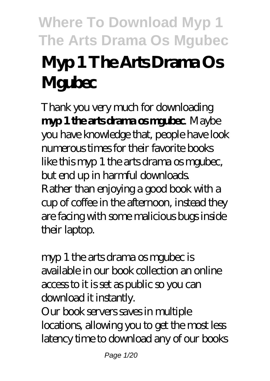# **Where To Download Myp 1 The Arts Drama Os Mgubec Myp 1 The Arts Drama Os Mgubec**

Thank you very much for downloading **myp 1 the arts drama os mathec** Maybe you have knowledge that, people have look numerous times for their favorite books like this myp 1 the arts drama os mgubec, but end up in harmful downloads. Rather than enjoying a good book with a cup of coffee in the afternoon, instead they are facing with some malicious bugs inside their laptop.

myp 1 the arts drama os mgubec is available in our book collection an online access to it is set as public so you can download it instantly.

Our book servers saves in multiple locations, allowing you to get the most less latency time to download any of our books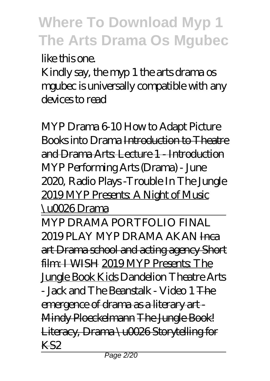like this one.

Kindly say, the myp 1 the arts drama os mgubec is universally compatible with any devices to read

*MYP Drama 6-10 How to Adapt Picture Books into Drama* Introduction to Theatre and Drama Arts: Lecture 1 - Introduction MYP Performing Arts (Drama) - June 2020, Radio Plays -Trouble In The Jungle 2019 MYP Presents: A Night of Music \u0026 Drama

MYP DRAMA PORTFOLIO FINAL 2019 PLAY MYP DRAMA AKANI<sub>FICA</sub> art Drama school and acting agency Short film: I WISH 2019 MYP Presents: The Jungle Book Kids *Dandelion Theatre Arts - Jack and The Beanstalk - Video 1* The emergence of drama as a literary art - Mindy Ploeckelmann The Jungle Book! Literacy, Drama \u0026 Storytelling for KS2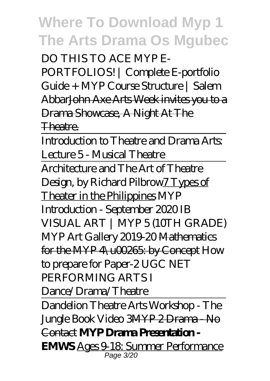DO THIS TO ACE MYP E-PORTFOLIOS! | Complete E-portfolio Guide + MYP Course Structure | Salem AbbarJohn Axe Arts Week invites you to a Drama Showcase, A Night At The Theatre.

Introduction to Theatre and Drama Arts: Lecture 5 - Musical Theatre Architecture and The Art of Theatre Design, by Richard Pilbrow7 Types of Theater in the Philippines *MYP Introduction - September 2020 IB VISUAL ART | MYP 5 (10TH GRADE)* MYP Art Gallery 2019-20 Mathematics for the MYP 4\u00265: by Concept *How to prepare for Paper-2 UGC NET PERFORMING ARTS I Dance/Drama/Theatre*

Dandelion Theatre Arts Workshop - The Jungle Book Video 3MYP 2 Drama - No Contact **MYP Drama Presentation - EMWS** Ages 9-18: Summer Performance Page 3/20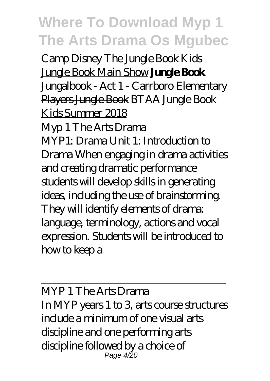Camp Disney The Jungle Book Kids Jungle Book Main Show **Jungle Book** Jungalbook Act 1 Carrboro Elementary Players Jungle Book BTAA Jungle Book Kids Summer 2018

Myp 1 The Arts Drama MYP1: Drama Unit 1: Introduction to Drama When engaging in drama activities and creating dramatic performance students will develop skills in generating ideas, including the use of brainstorming. They will identify elements of drama: language, terminology, actions and vocal expression. Students will be introduced to how to keep a

MYP 1 The Arts Drama In MYP years 1 to 3, arts course structures include a minimum of one visual arts discipline and one performing arts discipline followed by a choice of Page 4/20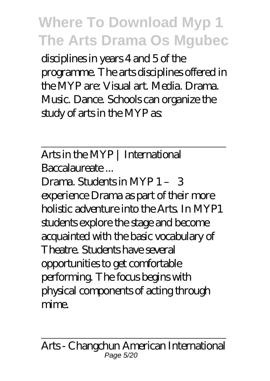disciplines in years 4 and 5 of the programme. The arts disciplines offered in the MYP are: Visual art. Media. Drama. Music. Dance. Schools can organize the study of arts in the MYP as:

Arts in the MYP | International Baccalaureate ...

Drama. Students in MYP 1 – 3 experience Drama as part of their more holistic adventure into the Arts. In MYP1 students explore the stage and become acquainted with the basic vocabulary of Theatre. Students have several opportunities to get comfortable performing. The focus begins with physical components of acting through mime.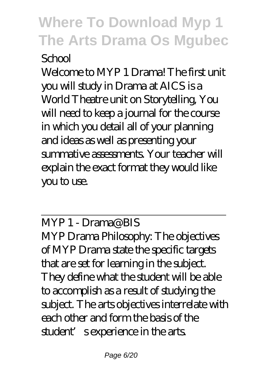#### School

Welcome to MYP 1 Drama! The first unit you will study in Drama at AICS is a World Theatre unit on Storytelling, You will need to keep a journal for the course in which you detail all of your planning and ideas as well as presenting your summative assessments. Your teacher will explain the exact format they would like you to use.

MYP 1 - Drama@BIS MYP Drama Philosophy: The objectives of MYP Drama state the specific targets that are set for learning in the subject. They define what the student will be able to accomplish as a result of studying the subject. The arts objectives interrelate with each other and form the basis of the student' s experience in the arts.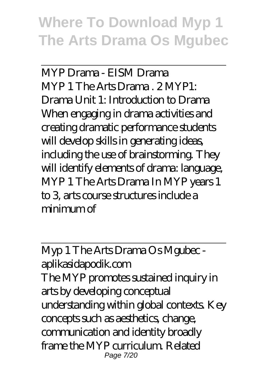MYP Drama - EISM Drama MYP 1 The Arts Drama . 2 MYP1: Drama Unit 1: Introduction to Drama When engaging in drama activities and creating dramatic performance students will develop skills in generating ideas, including the use of brainstorming. They will identify elements of drama: language, MYP 1 The Arts Drama In MYP years 1 to 3, arts course structures include a  $minima$ 

Myp 1 The Arts Drama Os Mgubec aplikasidapodik.com The MYP promotes sustained inquiry in arts by developing conceptual understanding within global contexts. Key concepts such as aesthetics, change, communication and identity broadly frame the MYP curriculum. Related Page 7/20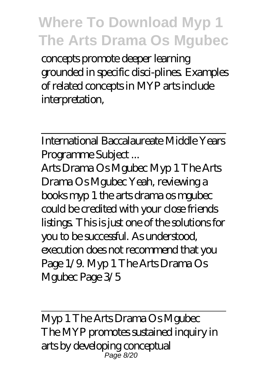concepts promote deeper learning grounded in specific disci-plines. Examples of related concepts in MYP arts include interpretation,

International Baccalaureate Middle Years Programme Subject ...

Arts Drama Os Mgubec Myp 1 The Arts Drama Os Mgubec Yeah, reviewing a books myp 1 the arts drama os mgubec could be credited with your close friends listings. This is just one of the solutions for you to be successful. As understood, execution does not recommend that you Page 1/9. Myp 1 The Arts Drama Os Mgubec Page 3/5

Myp 1 The Arts Drama Os Mgubec The MYP promotes sustained inquiry in arts by developing conceptual Page 8/20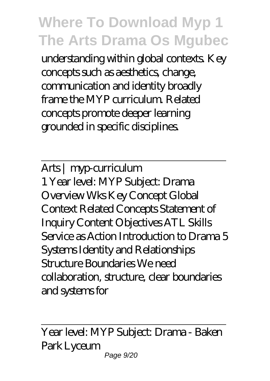understanding within global contexts. Key concepts such as aesthetics, change, communication and identity broadly frame the MYP curriculum. Related concepts promote deeper learning grounded in specific disciplines.

Arts | myp-curriculum 1 Year level: MYP Subject: Drama Overview Wks Key Concept Global Context Related Concepts Statement of Inquiry Content Objectives ATL Skills Service as Action Introduction to Drama 5 Systems Identity and Relationships Structure Boundaries We need collaboration, structure, clear boundaries and systems for

Year level: MYP Subject: Drama - Baken Park Lyceum Page 9/20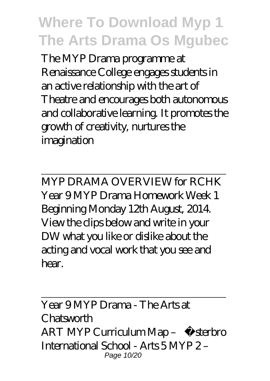The MYP Drama programme at Renaissance College engages students in an active relationship with the art of Theatre and encourages both autonomous and collaborative learning. It promotes the growth of creativity, nurtures the imagination

MYP DRAMA OVERVIEW for RCHK Year 9 MYP Drama Homework Week 1 Beginning Monday 12th August, 2014. View the clips below and write in your DW what you like or dislike about the acting and vocal work that you see and hear.

Year 9 MYP Drama - The Arts at Chatsworth ART MYP Curriculum Map – Østerbro International School - Arts 5 MYP 2 – Page 10/20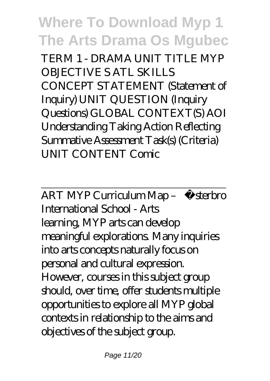TERM 1 - DRAMA UNIT TITLE MYP OBJECTIVE S ATL SKILLS CONCEPT STATEMENT (Statement of Inquiry) UNIT QUESTION (Inquiry Questions) GLOBAL CONTEXT(S) AOI Understanding Taking Action Reflecting Summative Assessment Task(s) (Criteria) UNIT CONTENT Comic

ART MYP Curriculum Map - Østerbro International School - Arts learning, MYP arts can develop meaningful explorations. Many inquiries into arts concepts naturally focus on personal and cultural expression. However, courses in this subject group should, over time, offer students multiple opportunities to explore all MYP global contexts in relationship to the aims and objectives of the subject group.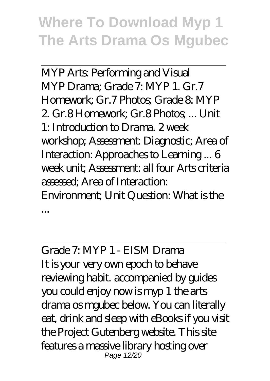MYP Arts: Performing and Visual MYP Drama; Grade 7: MYP 1. Gr.7 Homework; Gr.7 Photos; Grade 8: MYP 2. Gr.8 Homework; Gr.8 Photos; ... Unit 1: Introduction to Drama. 2 week workshop; Assessment: Diagnostic; Area of Interaction: Approaches to Learning ... 6 week unit; Assessment: all four Arts criteria assessed; Area of Interaction: Environment; Unit Question: What is the ...

Grade 7: MYP 1 - EISM Drama It is your very own epoch to behave reviewing habit. accompanied by guides you could enjoy now is myp 1 the arts drama os mgubec below. You can literally eat, drink and sleep with eBooks if you visit the Project Gutenberg website. This site features a massive library hosting over Page 12/20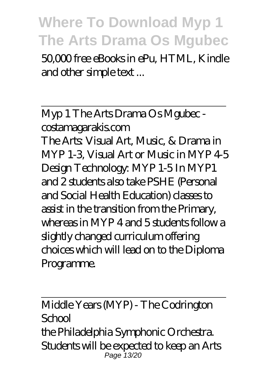50,000 free eBooks in ePu, HTML, Kindle and other simple text ...

Myp 1 The Arts Drama Os Mgubec costamagarakis.com The Arts: Visual Art, Music, & Drama in MYP 1-3, Visual Art or Music in MYP 4-5 Design Technology: MYP 1-5 In MYP1 and 2 students also take PSHE (Personal and Social Health Education) classes to assist in the transition from the Primary, whereas in MYP 4 and 5 students follow a slightly changed curriculum offering choices which will lead on to the Diploma Programme.

Middle Years (MYP) - The Codrington School the Philadelphia Symphonic Orchestra. Students will be expected to keep an Arts Page 13/20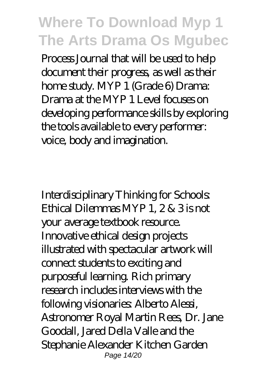Process Journal that will be used to help document their progress, as well as their home study. MYP 1 (Grade 6) Drama: Drama at the MYP 1 Level focuses on developing performance skills by exploring the tools available to every performer: voice, body and imagination.

Interdisciplinary Thinking for Schools: Ethical Dilemmas MYP 1, 2 & 3 is not your average textbook resource. Innovative ethical design projects illustrated with spectacular artwork will connect students to exciting and purposeful learning. Rich primary research includes interviews with the following visionaries: Alberto Alessi, Astronomer Royal Martin Rees, Dr. Jane Goodall, Jared Della Valle and the Stephanie Alexander Kitchen Garden Page 14/20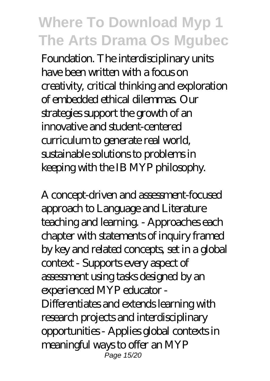Foundation. The interdisciplinary units have been written with a focus on creativity, critical thinking and exploration of embedded ethical dilemmas. Our strategies support the growth of an innovative and student-centered curriculum to generate real world, sustainable solutions to problems in keeping with the IB MYP philosophy.

A concept-driven and assessment-focused approach to Language and Literature teaching and learning. - Approaches each chapter with statements of inquiry framed by key and related concepts, set in a global context - Supports every aspect of assessment using tasks designed by an experienced MYP educator - Differentiates and extends learning with research projects and interdisciplinary opportunities - Applies global contexts in meaningful ways to offer an MYP Page 15/20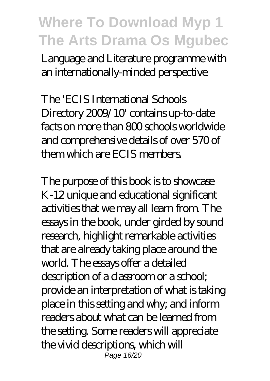Language and Literature programme with an internationally-minded perspective

The 'ECIS International Schools Directory 2009/10' contains up-to-date facts on more than 800 schools worldwide and comprehensive details of over 570 of them which are ECIS members.

The purpose of this book is to showcase K-12 unique and educational significant activities that we may all learn from. The essays in the book, under girded by sound research, highlight remarkable activities that are already taking place around the world. The essays offer a detailed description of a classroom or a school; provide an interpretation of what is taking place in this setting and why; and inform readers about what can be learned from the setting. Some readers will appreciate the vivid descriptions, which will Page 16/20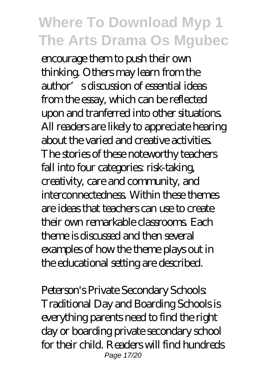encourage them to push their own thinking. Others may learn from the author's discussion of essential ideas from the essay, which can be reflected upon and tranferred into other situations. All readers are likely to appreciate hearing about the varied and creative activities. The stories of these noteworthy teachers fall into four categories risk-taking creativity, care and community, and interconnectedness. Within these themes are ideas that teachers can use to create their own remarkable classrooms. Each theme is discussed and then several examples of how the theme plays out in the educational setting are described.

Peterson's Private Secondary Schools: Traditional Day and Boarding Schools is everything parents need to find the right day or boarding private secondary school for their child. Readers will find hundreds Page 17/20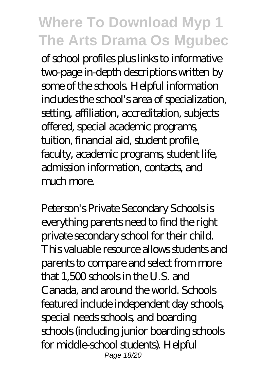of school profiles plus links to informative two-page in-depth descriptions written by some of the schools. Helpful information includes the school's area of specialization, setting, affiliation, accreditation, subjects offered, special academic programs, tuition, financial aid, student profile, faculty, academic programs, student life, admission information, contacts, and much more.

Peterson's Private Secondary Schools is everything parents need to find the right private secondary school for their child. This valuable resource allows students and parents to compare and select from more that 1,500 schools in the U.S. and Canada, and around the world. Schools featured include independent day schools, special needs schools, and boarding schools (including junior boarding schools for middle-school students). Helpful Page 18/20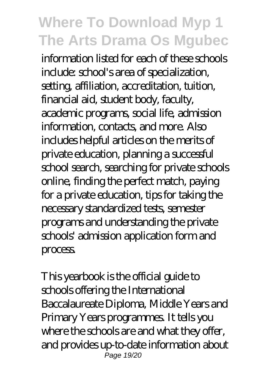information listed for each of these schools include: school's area of specialization, setting, affiliation, accreditation, tuition, financial aid, student body, faculty, academic programs, social life, admission information, contacts, and more. Also includes helpful articles on the merits of private education, planning a successful school search, searching for private schools online, finding the perfect match, paying for a private education, tips for taking the necessary standardized tests, semester programs and understanding the private schools' admission application form and process.

This yearbook is the official guide to schools offering the International Baccalaureate Diploma, Middle Years and Primary Years programmes. It tells you where the schools are and what they offer, and provides up-to-date information about Page 19/20